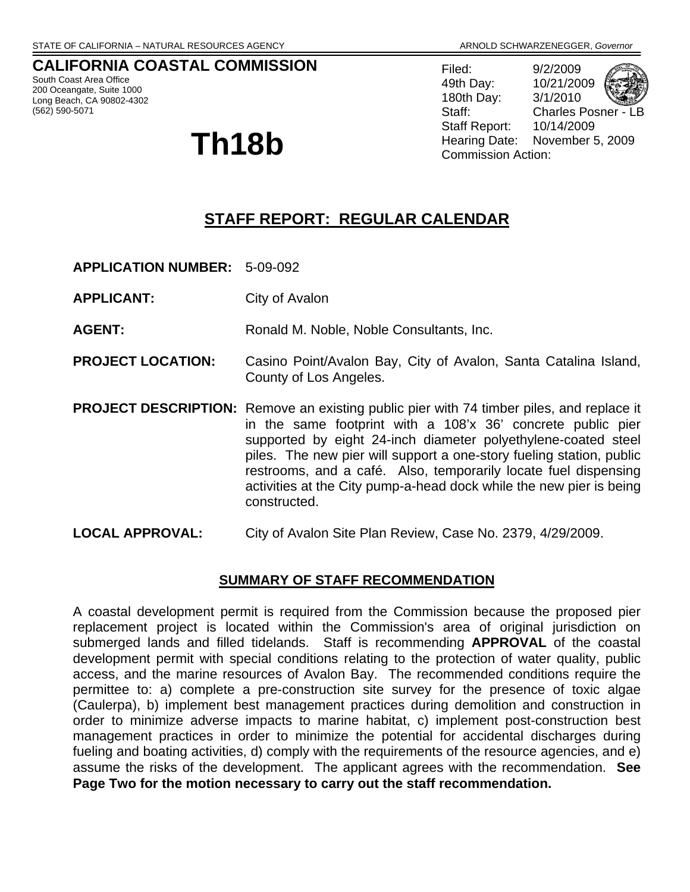## **CALIFORNIA COASTAL COMMISSION**

South Coast Area Office 200 Oceangate, Suite 1000 Long Beach, CA 90802-4302 (562) 590-5071

Filed: 9/2/2009 49th Day: 10/21/2009 180th Day: 3/1/2010 Staff: Charles Posner - LB Staff Report: 10/14/2009 **Th18b** Hearing Date: November 5, 2009

# **STAFF REPORT: REGULAR CALENDAR**

- **APPLICATION NUMBER:** 5-09-092
- **APPLICANT:** City of Avalon

AGENT: Ronald M. Noble, Noble Consultants, Inc.

- **PROJECT LOCATION:** Casino Point/Avalon Bay, City of Avalon, Santa Catalina Island, County of Los Angeles.
- **PROJECT DESCRIPTION:** Remove an existing public pier with 74 timber piles, and replace it in the same footprint with a 108'x 36' concrete public pier supported by eight 24-inch diameter polyethylene-coated steel piles. The new pier will support a one-story fueling station, public restrooms, and a café. Also, temporarily locate fuel dispensing activities at the City pump-a-head dock while the new pier is being constructed.
- **LOCAL APPROVAL:** City of Avalon Site Plan Review, Case No. 2379, 4/29/2009.

## **SUMMARY OF STAFF RECOMMENDATION**

A coastal development permit is required from the Commission because the proposed pier replacement project is located within the Commission's area of original jurisdiction on submerged lands and filled tidelands. Staff is recommending **APPROVAL** of the coastal development permit with special conditions relating to the protection of water quality, public access, and the marine resources of Avalon Bay. The recommended conditions require the permittee to: a) complete a pre-construction site survey for the presence of toxic algae (Caulerpa), b) implement best management practices during demolition and construction in order to minimize adverse impacts to marine habitat, c) implement post-construction best management practices in order to minimize the potential for accidental discharges during fueling and boating activities, d) comply with the requirements of the resource agencies, and e) assume the risks of the development. The applicant agrees with the recommendation. **See Page Two for the motion necessary to carry out the staff recommendation.**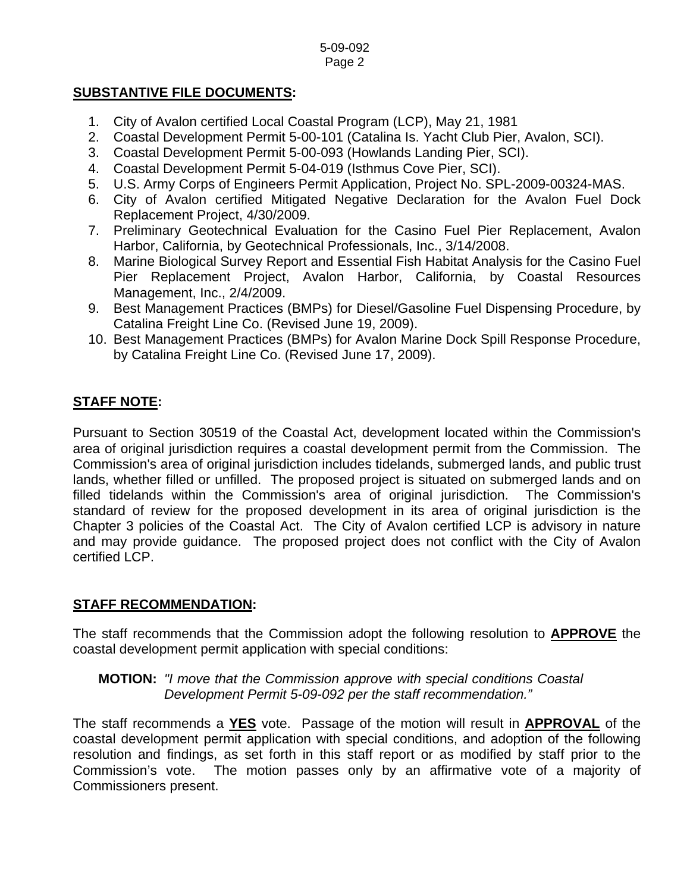## **SUBSTANTIVE FILE DOCUMENTS:**

- 1. City of Avalon certified Local Coastal Program (LCP), May 21, 1981
- 2. Coastal Development Permit 5-00-101 (Catalina Is. Yacht Club Pier, Avalon, SCI).
- 3. Coastal Development Permit 5-00-093 (Howlands Landing Pier, SCI).
- 4. Coastal Development Permit 5-04-019 (Isthmus Cove Pier, SCI).
- 5. U.S. Army Corps of Engineers Permit Application, Project No. SPL-2009-00324-MAS.
- 6. City of Avalon certified Mitigated Negative Declaration for the Avalon Fuel Dock Replacement Project, 4/30/2009.
- 7. Preliminary Geotechnical Evaluation for the Casino Fuel Pier Replacement, Avalon Harbor, California, by Geotechnical Professionals, Inc., 3/14/2008.
- 8. Marine Biological Survey Report and Essential Fish Habitat Analysis for the Casino Fuel Pier Replacement Project, Avalon Harbor, California, by Coastal Resources Management, Inc., 2/4/2009.
- 9. Best Management Practices (BMPs) for Diesel/Gasoline Fuel Dispensing Procedure, by Catalina Freight Line Co. (Revised June 19, 2009).
- 10. Best Management Practices (BMPs) for Avalon Marine Dock Spill Response Procedure, by Catalina Freight Line Co. (Revised June 17, 2009).

# **STAFF NOTE:**

Pursuant to Section 30519 of the Coastal Act, development located within the Commission's area of original jurisdiction requires a coastal development permit from the Commission. The Commission's area of original jurisdiction includes tidelands, submerged lands, and public trust lands, whether filled or unfilled. The proposed project is situated on submerged lands and on filled tidelands within the Commission's area of original jurisdiction. The Commission's standard of review for the proposed development in its area of original jurisdiction is the Chapter 3 policies of the Coastal Act. The City of Avalon certified LCP is advisory in nature and may provide guidance. The proposed project does not conflict with the City of Avalon certified LCP.

## **STAFF RECOMMENDATION:**

The staff recommends that the Commission adopt the following resolution to **APPROVE** the coastal development permit application with special conditions:

## **MOTION:** *"I move that the Commission approve with special conditions Coastal Development Permit 5-09-092 per the staff recommendation."*

The staff recommends a **YES** vote. Passage of the motion will result in **APPROVAL** of the coastal development permit application with special conditions, and adoption of the following resolution and findings, as set forth in this staff report or as modified by staff prior to the Commission's vote. The motion passes only by an affirmative vote of a majority of Commissioners present.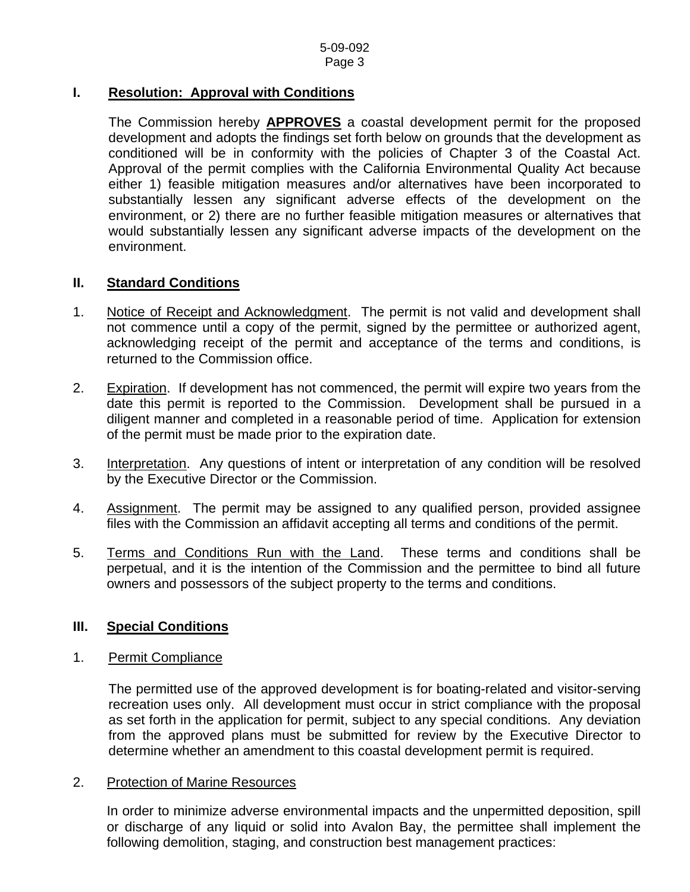## **I. Resolution: Approval with Conditions**

The Commission hereby **APPROVES** a coastal development permit for the proposed development and adopts the findings set forth below on grounds that the development as conditioned will be in conformity with the policies of Chapter 3 of the Coastal Act. Approval of the permit complies with the California Environmental Quality Act because either 1) feasible mitigation measures and/or alternatives have been incorporated to substantially lessen any significant adverse effects of the development on the environment, or 2) there are no further feasible mitigation measures or alternatives that would substantially lessen any significant adverse impacts of the development on the environment.

## **II. Standard Conditions**

- 1. Notice of Receipt and Acknowledgment. The permit is not valid and development shall not commence until a copy of the permit, signed by the permittee or authorized agent, acknowledging receipt of the permit and acceptance of the terms and conditions, is returned to the Commission office.
- 2. Expiration. If development has not commenced, the permit will expire two years from the date this permit is reported to the Commission. Development shall be pursued in a diligent manner and completed in a reasonable period of time. Application for extension of the permit must be made prior to the expiration date.
- 3. Interpretation. Any questions of intent or interpretation of any condition will be resolved by the Executive Director or the Commission.
- 4. Assignment. The permit may be assigned to any qualified person, provided assignee files with the Commission an affidavit accepting all terms and conditions of the permit.
- 5. Terms and Conditions Run with the Land. These terms and conditions shall be perpetual, and it is the intention of the Commission and the permittee to bind all future owners and possessors of the subject property to the terms and conditions.

## **III. Special Conditions**

### 1. Permit Compliance

 The permitted use of the approved development is for boating-related and visitor-serving recreation uses only. All development must occur in strict compliance with the proposal as set forth in the application for permit, subject to any special conditions. Any deviation from the approved plans must be submitted for review by the Executive Director to determine whether an amendment to this coastal development permit is required.

#### 2. Protection of Marine Resources

 In order to minimize adverse environmental impacts and the unpermitted deposition, spill or discharge of any liquid or solid into Avalon Bay, the permittee shall implement the following demolition, staging, and construction best management practices: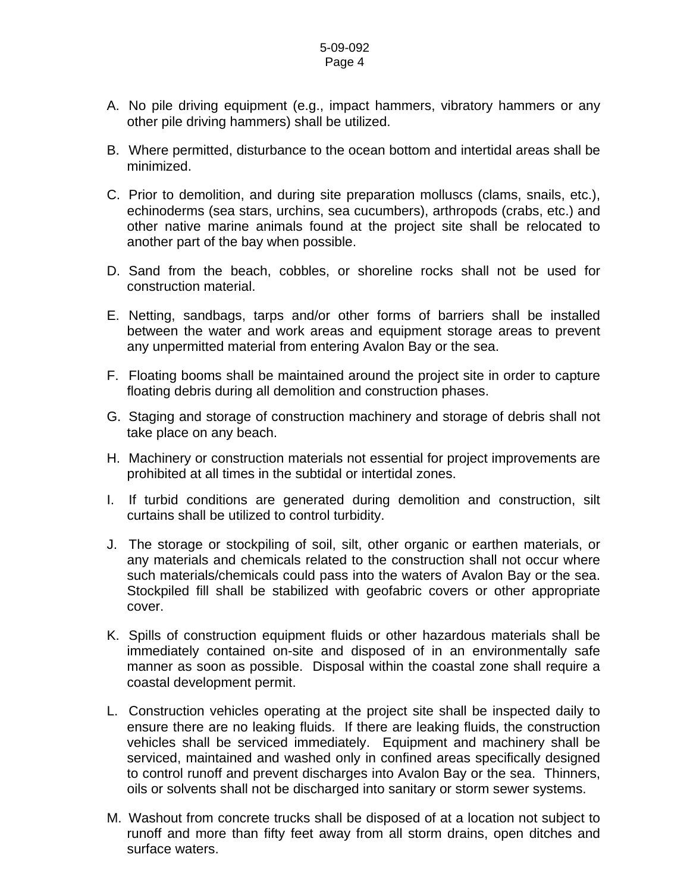- A. No pile driving equipment (e.g., impact hammers, vibratory hammers or any other pile driving hammers) shall be utilized.
- B. Where permitted, disturbance to the ocean bottom and intertidal areas shall be minimized.
- C. Prior to demolition, and during site preparation molluscs (clams, snails, etc.), echinoderms (sea stars, urchins, sea cucumbers), arthropods (crabs, etc.) and other native marine animals found at the project site shall be relocated to another part of the bay when possible.
- D. Sand from the beach, cobbles, or shoreline rocks shall not be used for construction material.
- E. Netting, sandbags, tarps and/or other forms of barriers shall be installed between the water and work areas and equipment storage areas to prevent any unpermitted material from entering Avalon Bay or the sea.
- F. Floating booms shall be maintained around the project site in order to capture floating debris during all demolition and construction phases.
- G. Staging and storage of construction machinery and storage of debris shall not take place on any beach.
- H. Machinery or construction materials not essential for project improvements are prohibited at all times in the subtidal or intertidal zones.
- I. If turbid conditions are generated during demolition and construction, silt curtains shall be utilized to control turbidity.
- J. The storage or stockpiling of soil, silt, other organic or earthen materials, or any materials and chemicals related to the construction shall not occur where such materials/chemicals could pass into the waters of Avalon Bay or the sea. Stockpiled fill shall be stabilized with geofabric covers or other appropriate cover.
- K. Spills of construction equipment fluids or other hazardous materials shall be immediately contained on-site and disposed of in an environmentally safe manner as soon as possible. Disposal within the coastal zone shall require a coastal development permit.
- L. Construction vehicles operating at the project site shall be inspected daily to ensure there are no leaking fluids. If there are leaking fluids, the construction vehicles shall be serviced immediately. Equipment and machinery shall be serviced, maintained and washed only in confined areas specifically designed to control runoff and prevent discharges into Avalon Bay or the sea. Thinners, oils or solvents shall not be discharged into sanitary or storm sewer systems.
- M. Washout from concrete trucks shall be disposed of at a location not subject to runoff and more than fifty feet away from all storm drains, open ditches and surface waters.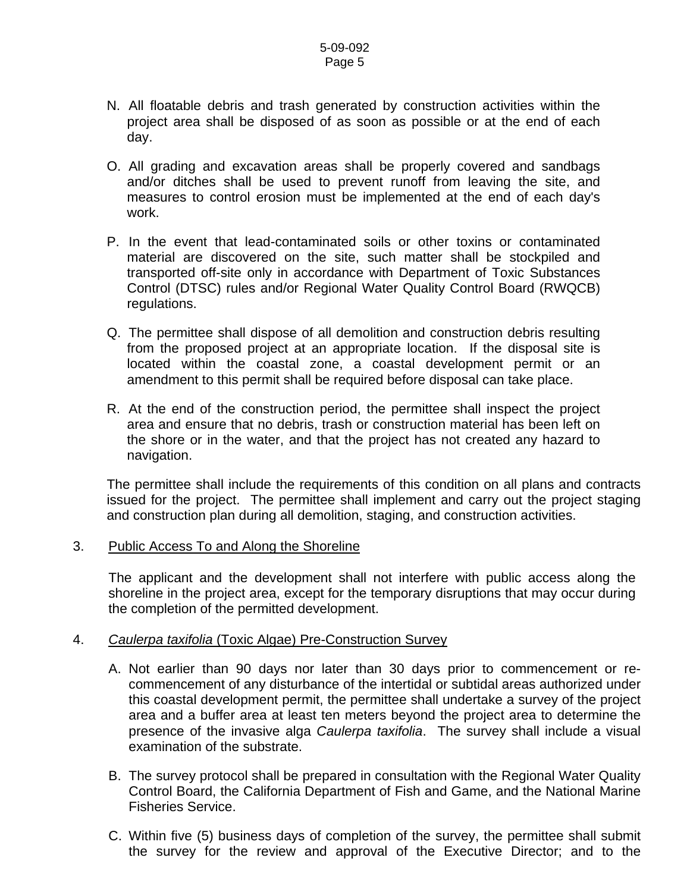- N. All floatable debris and trash generated by construction activities within the project area shall be disposed of as soon as possible or at the end of each day.
- O. All grading and excavation areas shall be properly covered and sandbags and/or ditches shall be used to prevent runoff from leaving the site, and measures to control erosion must be implemented at the end of each day's work.
- P. In the event that lead-contaminated soils or other toxins or contaminated material are discovered on the site, such matter shall be stockpiled and transported off-site only in accordance with Department of Toxic Substances Control (DTSC) rules and/or Regional Water Quality Control Board (RWQCB) regulations.
- Q. The permittee shall dispose of all demolition and construction debris resulting from the proposed project at an appropriate location. If the disposal site is located within the coastal zone, a coastal development permit or an amendment to this permit shall be required before disposal can take place.
- R. At the end of the construction period, the permittee shall inspect the project area and ensure that no debris, trash or construction material has been left on the shore or in the water, and that the project has not created any hazard to navigation.

 The permittee shall include the requirements of this condition on all plans and contracts issued for the project. The permittee shall implement and carry out the project staging and construction plan during all demolition, staging, and construction activities.

### 3. Public Access To and Along the Shoreline

The applicant and the development shall not interfere with public access along the shoreline in the project area, except for the temporary disruptions that may occur during the completion of the permitted development.

## 4. *Caulerpa taxifolia* (Toxic Algae) Pre-Construction Survey

- A. Not earlier than 90 days nor later than 30 days prior to commencement or recommencement of any disturbance of the intertidal or subtidal areas authorized under this coastal development permit, the permittee shall undertake a survey of the project area and a buffer area at least ten meters beyond the project area to determine the presence of the invasive alga *Caulerpa taxifolia*. The survey shall include a visual examination of the substrate.
- B. The survey protocol shall be prepared in consultation with the Regional Water Quality Control Board, the California Department of Fish and Game, and the National Marine Fisheries Service.
- C. Within five (5) business days of completion of the survey, the permittee shall submit the survey for the review and approval of the Executive Director; and to the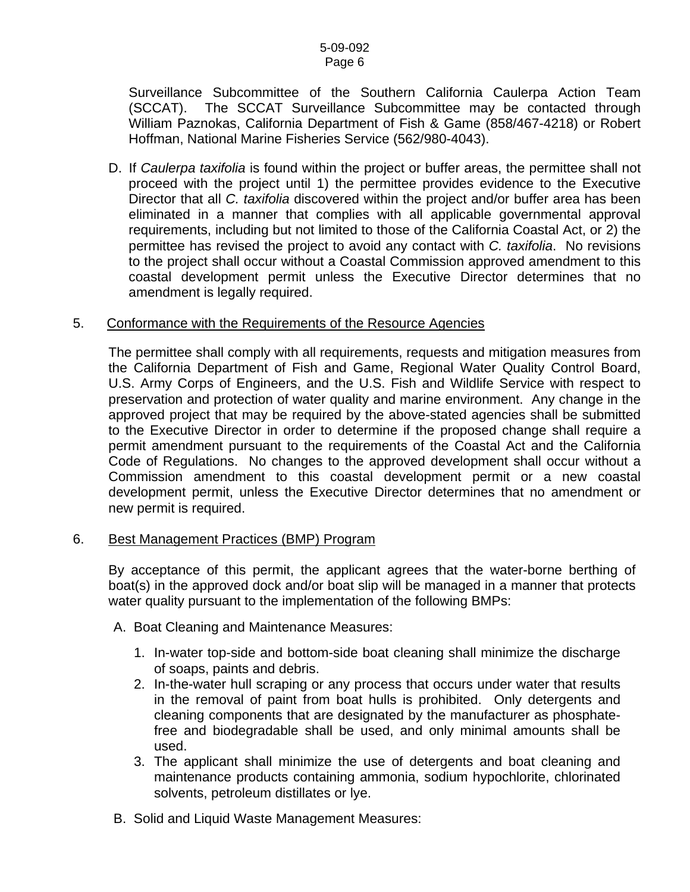Surveillance Subcommittee of the Southern California Caulerpa Action Team (SCCAT). The SCCAT Surveillance Subcommittee may be contacted through William Paznokas, California Department of Fish & Game (858/467-4218) or Robert Hoffman, National Marine Fisheries Service (562/980-4043).

D. If *Caulerpa taxifolia* is found within the project or buffer areas, the permittee shall not proceed with the project until 1) the permittee provides evidence to the Executive Director that all *C. taxifolia* discovered within the project and/or buffer area has been eliminated in a manner that complies with all applicable governmental approval requirements, including but not limited to those of the California Coastal Act, or 2) the permittee has revised the project to avoid any contact with *C. taxifolia*. No revisions to the project shall occur without a Coastal Commission approved amendment to this coastal development permit unless the Executive Director determines that no amendment is legally required.

### 5. Conformance with the Requirements of the Resource Agencies

 The permittee shall comply with all requirements, requests and mitigation measures from the California Department of Fish and Game, Regional Water Quality Control Board, U.S. Army Corps of Engineers, and the U.S. Fish and Wildlife Service with respect to preservation and protection of water quality and marine environment. Any change in the approved project that may be required by the above-stated agencies shall be submitted to the Executive Director in order to determine if the proposed change shall require a permit amendment pursuant to the requirements of the Coastal Act and the California Code of Regulations. No changes to the approved development shall occur without a Commission amendment to this coastal development permit or a new coastal development permit, unless the Executive Director determines that no amendment or new permit is required.

#### 6. Best Management Practices (BMP) Program

By acceptance of this permit, the applicant agrees that the water-borne berthing of boat(s) in the approved dock and/or boat slip will be managed in a manner that protects water quality pursuant to the implementation of the following BMPs:

- A. Boat Cleaning and Maintenance Measures:
	- 1. In-water top-side and bottom-side boat cleaning shall minimize the discharge of soaps, paints and debris.
	- 2. In-the-water hull scraping or any process that occurs under water that results in the removal of paint from boat hulls is prohibited. Only detergents and cleaning components that are designated by the manufacturer as phosphatefree and biodegradable shall be used, and only minimal amounts shall be used.
	- 3. The applicant shall minimize the use of detergents and boat cleaning and maintenance products containing ammonia, sodium hypochlorite, chlorinated solvents, petroleum distillates or lye.
- B. Solid and Liquid Waste Management Measures: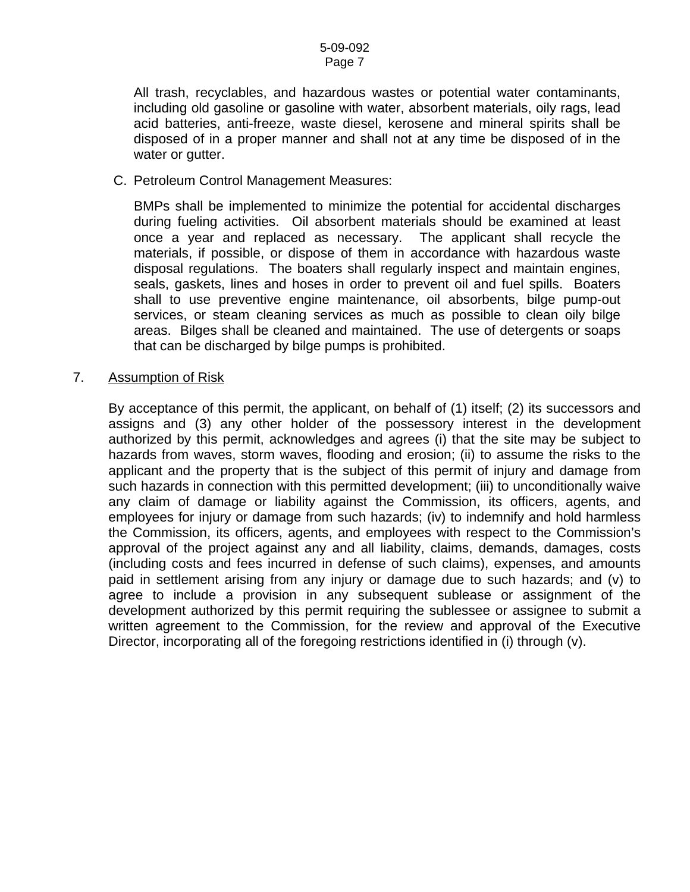All trash, recyclables, and hazardous wastes or potential water contaminants, including old gasoline or gasoline with water, absorbent materials, oily rags, lead acid batteries, anti-freeze, waste diesel, kerosene and mineral spirits shall be disposed of in a proper manner and shall not at any time be disposed of in the water or gutter.

C. Petroleum Control Management Measures:

BMPs shall be implemented to minimize the potential for accidental discharges during fueling activities. Oil absorbent materials should be examined at least once a year and replaced as necessary. The applicant shall recycle the materials, if possible, or dispose of them in accordance with hazardous waste disposal regulations. The boaters shall regularly inspect and maintain engines, seals, gaskets, lines and hoses in order to prevent oil and fuel spills. Boaters shall to use preventive engine maintenance, oil absorbents, bilge pump-out services, or steam cleaning services as much as possible to clean oily bilge areas. Bilges shall be cleaned and maintained. The use of detergents or soaps that can be discharged by bilge pumps is prohibited.

7. Assumption of Risk

By acceptance of this permit, the applicant, on behalf of (1) itself; (2) its successors and assigns and (3) any other holder of the possessory interest in the development authorized by this permit, acknowledges and agrees (i) that the site may be subject to hazards from waves, storm waves, flooding and erosion; (ii) to assume the risks to the applicant and the property that is the subject of this permit of injury and damage from such hazards in connection with this permitted development; (iii) to unconditionally waive any claim of damage or liability against the Commission, its officers, agents, and employees for injury or damage from such hazards; (iv) to indemnify and hold harmless the Commission, its officers, agents, and employees with respect to the Commission's approval of the project against any and all liability, claims, demands, damages, costs (including costs and fees incurred in defense of such claims), expenses, and amounts paid in settlement arising from any injury or damage due to such hazards; and (v) to agree to include a provision in any subsequent sublease or assignment of the development authorized by this permit requiring the sublessee or assignee to submit a written agreement to the Commission, for the review and approval of the Executive Director, incorporating all of the foregoing restrictions identified in (i) through (v).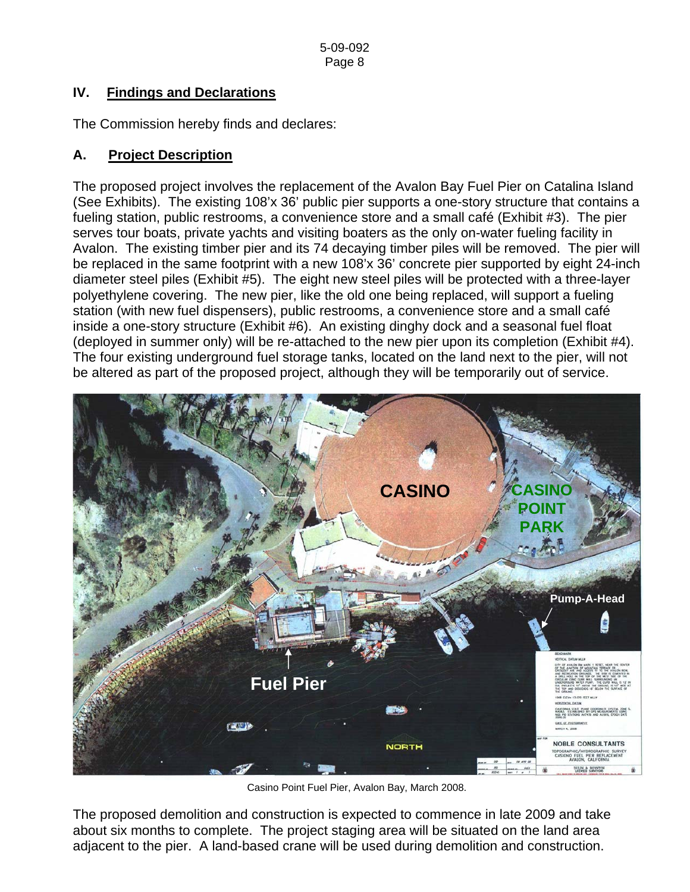# **IV. Findings and Declarations**

The Commission hereby finds and declares:

## **A. Project Description**

The proposed project involves the replacement of the Avalon Bay Fuel Pier on Catalina Island (See Exhibits). The existing 108'x 36' public pier supports a one-story structure that contains a fueling station, public restrooms, a convenience store and a small café (Exhibit #3). The pier serves tour boats, private yachts and visiting boaters as the only on-water fueling facility in Avalon. The existing timber pier and its 74 decaying timber piles will be removed. The pier will be replaced in the same footprint with a new 108'x 36' concrete pier supported by eight 24-inch diameter steel piles (Exhibit #5). The eight new steel piles will be protected with a three-layer polyethylene covering. The new pier, like the old one being replaced, will support a fueling station (with new fuel dispensers), public restrooms, a convenience store and a small café inside a one-story structure (Exhibit #6). An existing dinghy dock and a seasonal fuel float (deployed in summer only) will be re-attached to the new pier upon its completion (Exhibit #4). The four existing underground fuel storage tanks, located on the land next to the pier, will not be altered as part of the proposed project, although they will be temporarily out of service.



Casino Point Fuel Pier, Avalon Bay, March 2008.

The proposed demolition and construction is expected to commence in late 2009 and take about six months to complete. The project staging area will be situated on the land area adjacent to the pier. A land-based crane will be used during demolition and construction.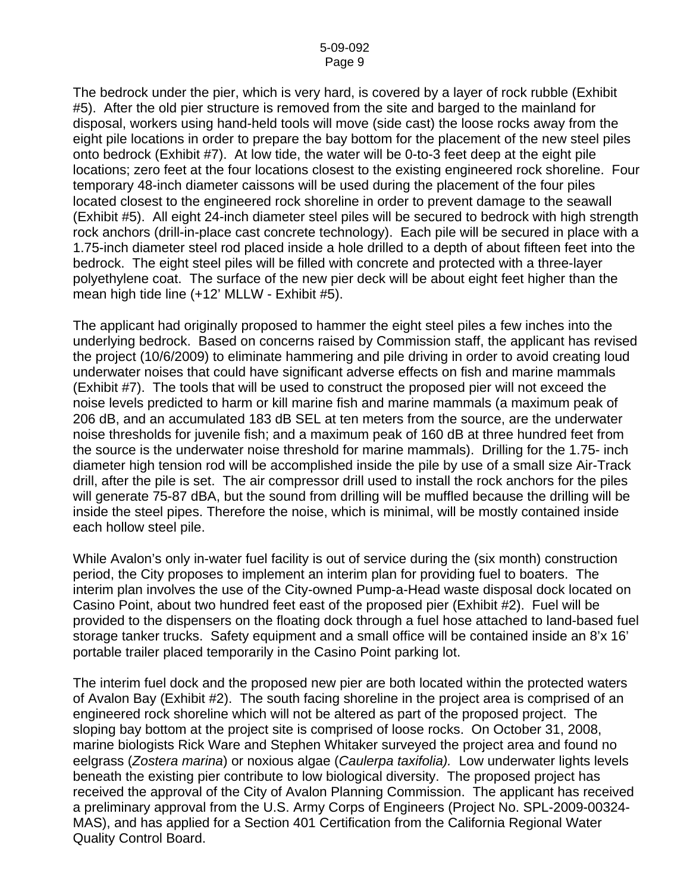The bedrock under the pier, which is very hard, is covered by a layer of rock rubble (Exhibit #5). After the old pier structure is removed from the site and barged to the mainland for disposal, workers using hand-held tools will move (side cast) the loose rocks away from the eight pile locations in order to prepare the bay bottom for the placement of the new steel piles onto bedrock (Exhibit #7). At low tide, the water will be 0-to-3 feet deep at the eight pile locations; zero feet at the four locations closest to the existing engineered rock shoreline. Four temporary 48-inch diameter caissons will be used during the placement of the four piles located closest to the engineered rock shoreline in order to prevent damage to the seawall (Exhibit #5). All eight 24-inch diameter steel piles will be secured to bedrock with high strength rock anchors (drill-in-place cast concrete technology). Each pile will be secured in place with a 1.75-inch diameter steel rod placed inside a hole drilled to a depth of about fifteen feet into the bedrock. The eight steel piles will be filled with concrete and protected with a three-layer polyethylene coat. The surface of the new pier deck will be about eight feet higher than the mean high tide line (+12' MLLW - Exhibit #5).

The applicant had originally proposed to hammer the eight steel piles a few inches into the underlying bedrock. Based on concerns raised by Commission staff, the applicant has revised the project (10/6/2009) to eliminate hammering and pile driving in order to avoid creating loud underwater noises that could have significant adverse effects on fish and marine mammals (Exhibit #7). The tools that will be used to construct the proposed pier will not exceed the noise levels predicted to harm or kill marine fish and marine mammals (a maximum peak of 206 dB, and an accumulated 183 dB SEL at ten meters from the source, are the underwater noise thresholds for juvenile fish; and a maximum peak of 160 dB at three hundred feet from the source is the underwater noise threshold for marine mammals). Drilling for the 1.75- inch diameter high tension rod will be accomplished inside the pile by use of a small size Air-Track drill, after the pile is set. The air compressor drill used to install the rock anchors for the piles will generate 75-87 dBA, but the sound from drilling will be muffled because the drilling will be inside the steel pipes. Therefore the noise, which is minimal, will be mostly contained inside each hollow steel pile.

While Avalon's only in-water fuel facility is out of service during the (six month) construction period, the City proposes to implement an interim plan for providing fuel to boaters. The interim plan involves the use of the City-owned Pump-a-Head waste disposal dock located on Casino Point, about two hundred feet east of the proposed pier (Exhibit #2). Fuel will be provided to the dispensers on the floating dock through a fuel hose attached to land-based fuel storage tanker trucks. Safety equipment and a small office will be contained inside an 8'x 16' portable trailer placed temporarily in the Casino Point parking lot.

The interim fuel dock and the proposed new pier are both located within the protected waters of Avalon Bay (Exhibit #2). The south facing shoreline in the project area is comprised of an engineered rock shoreline which will not be altered as part of the proposed project. The sloping bay bottom at the project site is comprised of loose rocks. On October 31, 2008, marine biologists Rick Ware and Stephen Whitaker surveyed the project area and found no eelgrass (*Zostera marina*) or noxious algae (*Caulerpa taxifolia).* Low underwater lights levels beneath the existing pier contribute to low biological diversity. The proposed project has received the approval of the City of Avalon Planning Commission. The applicant has received a preliminary approval from the U.S. Army Corps of Engineers (Project No. SPL-2009-00324- MAS), and has applied for a Section 401 Certification from the California Regional Water Quality Control Board.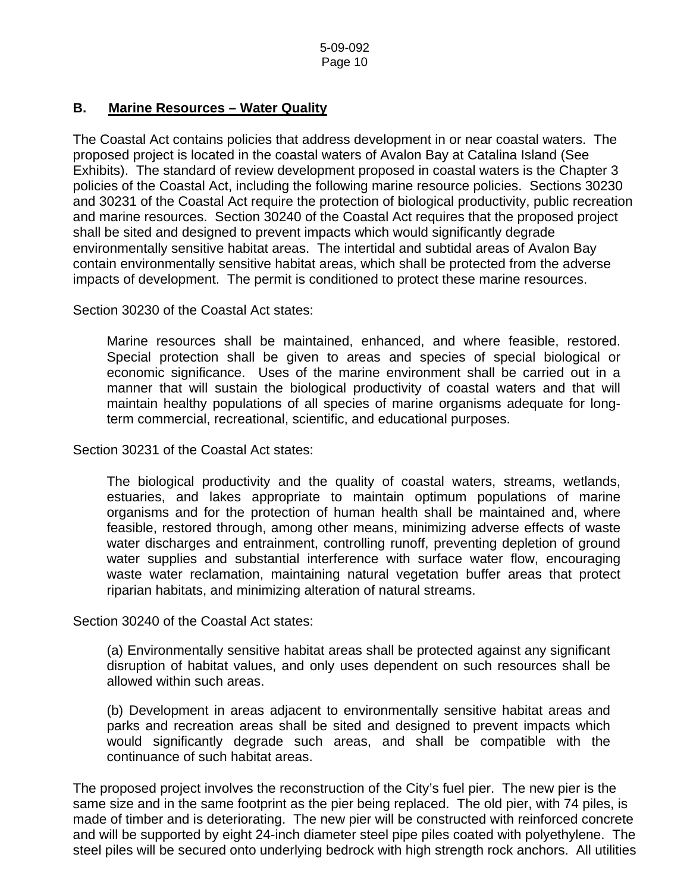## **B. Marine Resources – Water Quality**

The Coastal Act contains policies that address development in or near coastal waters. The proposed project is located in the coastal waters of Avalon Bay at Catalina Island (See Exhibits). The standard of review development proposed in coastal waters is the Chapter 3 policies of the Coastal Act, including the following marine resource policies. Sections 30230 and 30231 of the Coastal Act require the protection of biological productivity, public recreation and marine resources. Section 30240 of the Coastal Act requires that the proposed project shall be sited and designed to prevent impacts which would significantly degrade environmentally sensitive habitat areas. The intertidal and subtidal areas of Avalon Bay contain environmentally sensitive habitat areas, which shall be protected from the adverse impacts of development. The permit is conditioned to protect these marine resources.

Section 30230 of the Coastal Act states:

 Marine resources shall be maintained, enhanced, and where feasible, restored. Special protection shall be given to areas and species of special biological or economic significance. Uses of the marine environment shall be carried out in a manner that will sustain the biological productivity of coastal waters and that will maintain healthy populations of all species of marine organisms adequate for longterm commercial, recreational, scientific, and educational purposes.

Section 30231 of the Coastal Act states:

 The biological productivity and the quality of coastal waters, streams, wetlands, estuaries, and lakes appropriate to maintain optimum populations of marine organisms and for the protection of human health shall be maintained and, where feasible, restored through, among other means, minimizing adverse effects of waste water discharges and entrainment, controlling runoff, preventing depletion of ground water supplies and substantial interference with surface water flow, encouraging waste water reclamation, maintaining natural vegetation buffer areas that protect riparian habitats, and minimizing alteration of natural streams.

Section 30240 of the Coastal Act states:

(a) Environmentally sensitive habitat areas shall be protected against any significant disruption of habitat values, and only uses dependent on such resources shall be allowed within such areas.

(b) Development in areas adjacent to environmentally sensitive habitat areas and parks and recreation areas shall be sited and designed to prevent impacts which would significantly degrade such areas, and shall be compatible with the continuance of such habitat areas.

The proposed project involves the reconstruction of the City's fuel pier. The new pier is the same size and in the same footprint as the pier being replaced. The old pier, with 74 piles, is made of timber and is deteriorating. The new pier will be constructed with reinforced concrete and will be supported by eight 24-inch diameter steel pipe piles coated with polyethylene. The steel piles will be secured onto underlying bedrock with high strength rock anchors. All utilities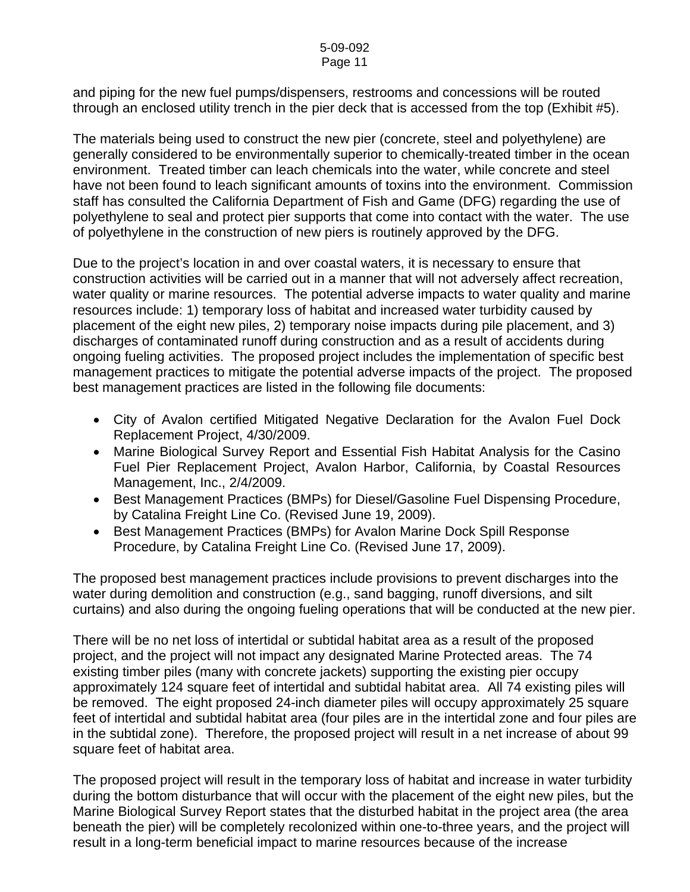and piping for the new fuel pumps/dispensers, restrooms and concessions will be routed through an enclosed utility trench in the pier deck that is accessed from the top (Exhibit #5).

The materials being used to construct the new pier (concrete, steel and polyethylene) are generally considered to be environmentally superior to chemically-treated timber in the ocean environment. Treated timber can leach chemicals into the water, while concrete and steel have not been found to leach significant amounts of toxins into the environment. Commission staff has consulted the California Department of Fish and Game (DFG) regarding the use of polyethylene to seal and protect pier supports that come into contact with the water. The use of polyethylene in the construction of new piers is routinely approved by the DFG.

Due to the project's location in and over coastal waters, it is necessary to ensure that construction activities will be carried out in a manner that will not adversely affect recreation, water quality or marine resources. The potential adverse impacts to water quality and marine resources include: 1) temporary loss of habitat and increased water turbidity caused by placement of the eight new piles, 2) temporary noise impacts during pile placement, and 3) discharges of contaminated runoff during construction and as a result of accidents during ongoing fueling activities. The proposed project includes the implementation of specific best management practices to mitigate the potential adverse impacts of the project. The proposed best management practices are listed in the following file documents:

- City of Avalon certified Mitigated Negative Declaration for the Avalon Fuel Dock Replacement Project, 4/30/2009.
- Marine Biological Survey Report and Essential Fish Habitat Analysis for the Casino Fuel Pier Replacement Project, Avalon Harbor, California, by Coastal Resources Management, Inc., 2/4/2009.
- Best Management Practices (BMPs) for Diesel/Gasoline Fuel Dispensing Procedure, by Catalina Freight Line Co. (Revised June 19, 2009).
- Best Management Practices (BMPs) for Avalon Marine Dock Spill Response Procedure, by Catalina Freight Line Co. (Revised June 17, 2009).

The proposed best management practices include provisions to prevent discharges into the water during demolition and construction (e.g., sand bagging, runoff diversions, and silt curtains) and also during the ongoing fueling operations that will be conducted at the new pier.

There will be no net loss of intertidal or subtidal habitat area as a result of the proposed project, and the project will not impact any designated Marine Protected areas. The 74 existing timber piles (many with concrete jackets) supporting the existing pier occupy approximately 124 square feet of intertidal and subtidal habitat area. All 74 existing piles will be removed. The eight proposed 24-inch diameter piles will occupy approximately 25 square feet of intertidal and subtidal habitat area (four piles are in the intertidal zone and four piles are in the subtidal zone). Therefore, the proposed project will result in a net increase of about 99 square feet of habitat area.

The proposed project will result in the temporary loss of habitat and increase in water turbidity during the bottom disturbance that will occur with the placement of the eight new piles, but the Marine Biological Survey Report states that the disturbed habitat in the project area (the area beneath the pier) will be completely recolonized within one-to-three years, and the project will result in a long-term beneficial impact to marine resources because of the increase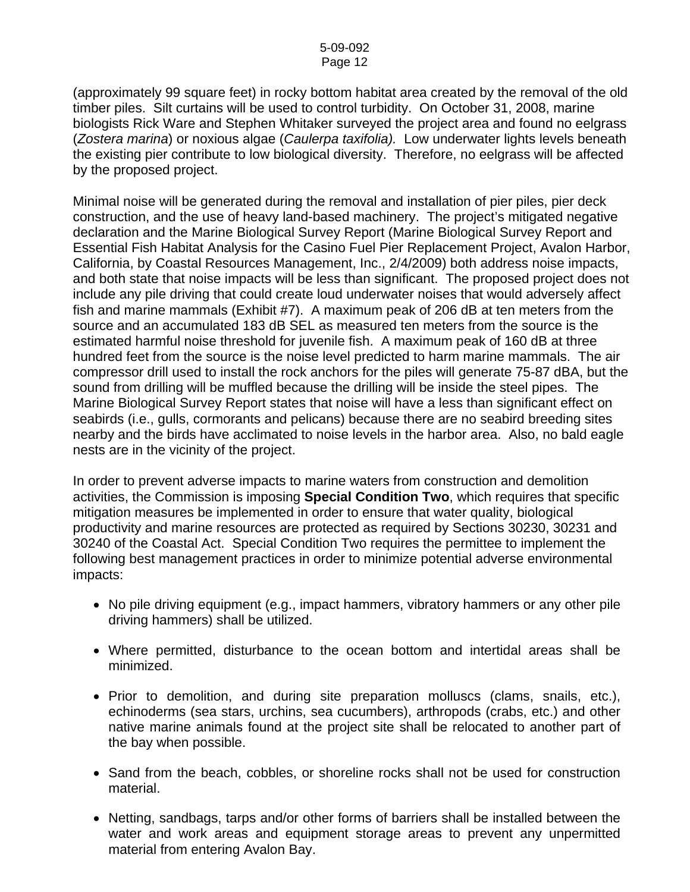(approximately 99 square feet) in rocky bottom habitat area created by the removal of the old timber piles. Silt curtains will be used to control turbidity. On October 31, 2008, marine biologists Rick Ware and Stephen Whitaker surveyed the project area and found no eelgrass (*Zostera marina*) or noxious algae (*Caulerpa taxifolia).* Low underwater lights levels beneath the existing pier contribute to low biological diversity. Therefore, no eelgrass will be affected by the proposed project.

Minimal noise will be generated during the removal and installation of pier piles, pier deck construction, and the use of heavy land-based machinery. The project's mitigated negative declaration and the Marine Biological Survey Report (Marine Biological Survey Report and Essential Fish Habitat Analysis for the Casino Fuel Pier Replacement Project, Avalon Harbor, California, by Coastal Resources Management, Inc., 2/4/2009) both address noise impacts, and both state that noise impacts will be less than significant. The proposed project does not include any pile driving that could create loud underwater noises that would adversely affect fish and marine mammals (Exhibit #7). A maximum peak of 206 dB at ten meters from the source and an accumulated 183 dB SEL as measured ten meters from the source is the estimated harmful noise threshold for juvenile fish. A maximum peak of 160 dB at three hundred feet from the source is the noise level predicted to harm marine mammals. The air compressor drill used to install the rock anchors for the piles will generate 75-87 dBA, but the sound from drilling will be muffled because the drilling will be inside the steel pipes. The Marine Biological Survey Report states that noise will have a less than significant effect on seabirds (i.e., gulls, cormorants and pelicans) because there are no seabird breeding sites nearby and the birds have acclimated to noise levels in the harbor area. Also, no bald eagle nests are in the vicinity of the project.

In order to prevent adverse impacts to marine waters from construction and demolition activities, the Commission is imposing **Special Condition Two**, which requires that specific mitigation measures be implemented in order to ensure that water quality, biological productivity and marine resources are protected as required by Sections 30230, 30231 and 30240 of the Coastal Act. Special Condition Two requires the permittee to implement the following best management practices in order to minimize potential adverse environmental impacts:

- No pile driving equipment (e.g., impact hammers, vibratory hammers or any other pile driving hammers) shall be utilized.
- Where permitted, disturbance to the ocean bottom and intertidal areas shall be minimized.
- Prior to demolition, and during site preparation molluscs (clams, snails, etc.), echinoderms (sea stars, urchins, sea cucumbers), arthropods (crabs, etc.) and other native marine animals found at the project site shall be relocated to another part of the bay when possible.
- Sand from the beach, cobbles, or shoreline rocks shall not be used for construction material.
- Netting, sandbags, tarps and/or other forms of barriers shall be installed between the water and work areas and equipment storage areas to prevent any unpermitted material from entering Avalon Bay.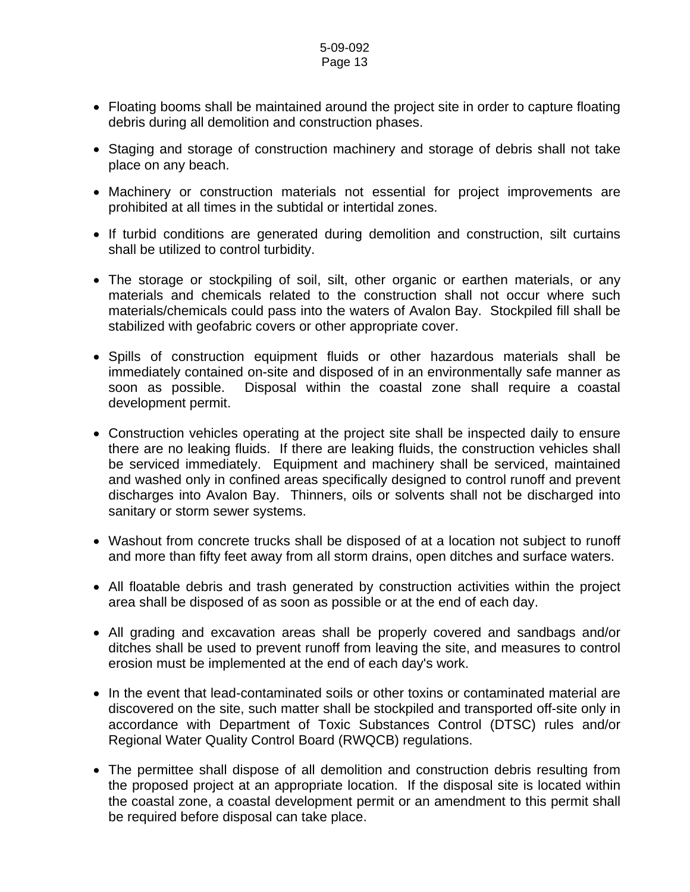#### 5-09-092 Page 13

- Floating booms shall be maintained around the project site in order to capture floating debris during all demolition and construction phases.
- Staging and storage of construction machinery and storage of debris shall not take place on any beach.
- Machinery or construction materials not essential for project improvements are prohibited at all times in the subtidal or intertidal zones.
- If turbid conditions are generated during demolition and construction, silt curtains shall be utilized to control turbidity.
- The storage or stockpiling of soil, silt, other organic or earthen materials, or any materials and chemicals related to the construction shall not occur where such materials/chemicals could pass into the waters of Avalon Bay. Stockpiled fill shall be stabilized with geofabric covers or other appropriate cover.
- Spills of construction equipment fluids or other hazardous materials shall be immediately contained on-site and disposed of in an environmentally safe manner as soon as possible. Disposal within the coastal zone shall require a coastal development permit.
- Construction vehicles operating at the project site shall be inspected daily to ensure there are no leaking fluids. If there are leaking fluids, the construction vehicles shall be serviced immediately. Equipment and machinery shall be serviced, maintained and washed only in confined areas specifically designed to control runoff and prevent discharges into Avalon Bay. Thinners, oils or solvents shall not be discharged into sanitary or storm sewer systems.
- Washout from concrete trucks shall be disposed of at a location not subject to runoff and more than fifty feet away from all storm drains, open ditches and surface waters.
- All floatable debris and trash generated by construction activities within the project area shall be disposed of as soon as possible or at the end of each day.
- All grading and excavation areas shall be properly covered and sandbags and/or ditches shall be used to prevent runoff from leaving the site, and measures to control erosion must be implemented at the end of each day's work.
- In the event that lead-contaminated soils or other toxins or contaminated material are discovered on the site, such matter shall be stockpiled and transported off-site only in accordance with Department of Toxic Substances Control (DTSC) rules and/or Regional Water Quality Control Board (RWQCB) regulations.
- The permittee shall dispose of all demolition and construction debris resulting from the proposed project at an appropriate location. If the disposal site is located within the coastal zone, a coastal development permit or an amendment to this permit shall be required before disposal can take place.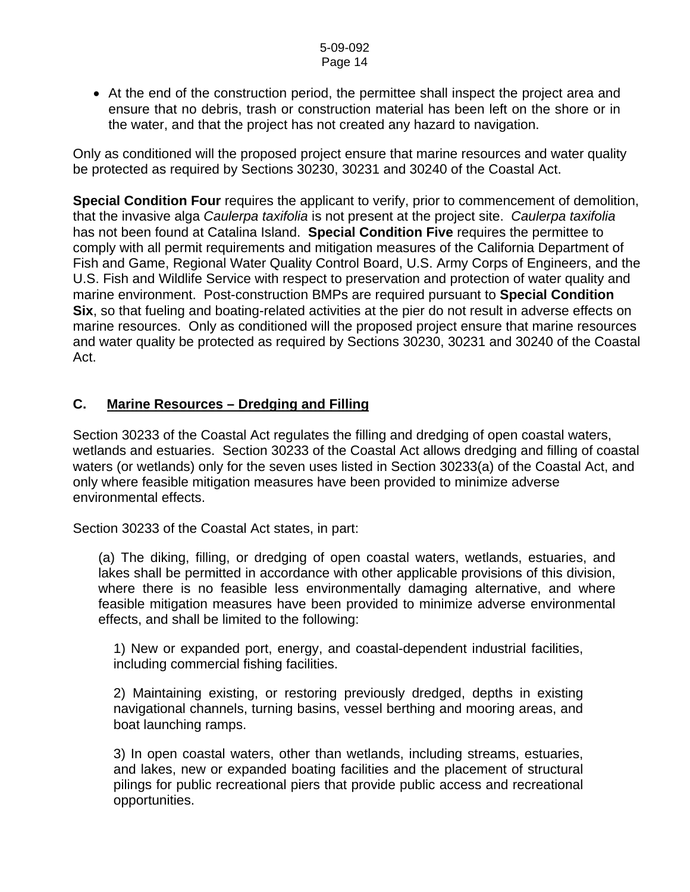• At the end of the construction period, the permittee shall inspect the project area and ensure that no debris, trash or construction material has been left on the shore or in the water, and that the project has not created any hazard to navigation.

Only as conditioned will the proposed project ensure that marine resources and water quality be protected as required by Sections 30230, 30231 and 30240 of the Coastal Act.

**Special Condition Four** requires the applicant to verify, prior to commencement of demolition, that the invasive alga *Caulerpa taxifolia* is not present at the project site. *Caulerpa taxifolia*  has not been found at Catalina Island. **Special Condition Five** requires the permittee to comply with all permit requirements and mitigation measures of the California Department of Fish and Game, Regional Water Quality Control Board, U.S. Army Corps of Engineers, and the U.S. Fish and Wildlife Service with respect to preservation and protection of water quality and marine environment. Post-construction BMPs are required pursuant to **Special Condition Six**, so that fueling and boating-related activities at the pier do not result in adverse effects on marine resources. Only as conditioned will the proposed project ensure that marine resources and water quality be protected as required by Sections 30230, 30231 and 30240 of the Coastal Act.

## **C. Marine Resources – Dredging and Filling**

Section 30233 of the Coastal Act regulates the filling and dredging of open coastal waters, wetlands and estuaries. Section 30233 of the Coastal Act allows dredging and filling of coastal waters (or wetlands) only for the seven uses listed in Section 30233(a) of the Coastal Act, and only where feasible mitigation measures have been provided to minimize adverse environmental effects.

Section 30233 of the Coastal Act states, in part:

(a) The diking, filling, or dredging of open coastal waters, wetlands, estuaries, and lakes shall be permitted in accordance with other applicable provisions of this division, where there is no feasible less environmentally damaging alternative, and where feasible mitigation measures have been provided to minimize adverse environmental effects, and shall be limited to the following:

1) New or expanded port, energy, and coastal-dependent industrial facilities, including commercial fishing facilities.

2) Maintaining existing, or restoring previously dredged, depths in existing navigational channels, turning basins, vessel berthing and mooring areas, and boat launching ramps.

3) In open coastal waters, other than wetlands, including streams, estuaries, and lakes, new or expanded boating facilities and the placement of structural pilings for public recreational piers that provide public access and recreational opportunities.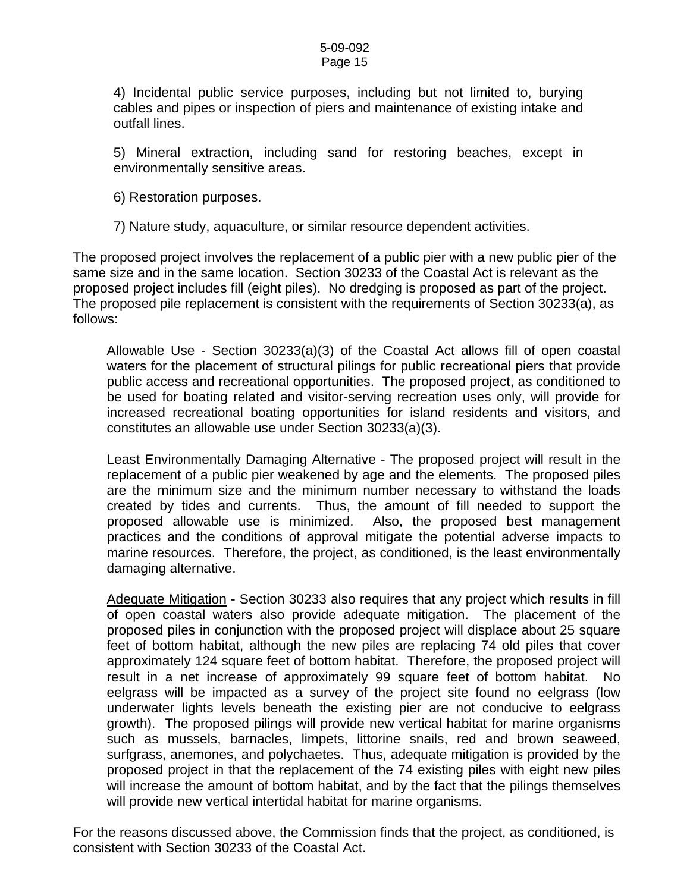4) Incidental public service purposes, including but not limited to, burying cables and pipes or inspection of piers and maintenance of existing intake and outfall lines.

5) Mineral extraction, including sand for restoring beaches, except in environmentally sensitive areas.

6) Restoration purposes.

7) Nature study, aquaculture, or similar resource dependent activities.

The proposed project involves the replacement of a public pier with a new public pier of the same size and in the same location. Section 30233 of the Coastal Act is relevant as the proposed project includes fill (eight piles). No dredging is proposed as part of the project. The proposed pile replacement is consistent with the requirements of Section 30233(a), as follows:

Allowable Use - Section 30233(a)(3) of the Coastal Act allows fill of open coastal waters for the placement of structural pilings for public recreational piers that provide public access and recreational opportunities. The proposed project, as conditioned to be used for boating related and visitor-serving recreation uses only, will provide for increased recreational boating opportunities for island residents and visitors, and constitutes an allowable use under Section 30233(a)(3).

Least Environmentally Damaging Alternative - The proposed project will result in the replacement of a public pier weakened by age and the elements. The proposed piles are the minimum size and the minimum number necessary to withstand the loads created by tides and currents. Thus, the amount of fill needed to support the proposed allowable use is minimized. Also, the proposed best management practices and the conditions of approval mitigate the potential adverse impacts to marine resources. Therefore, the project, as conditioned, is the least environmentally damaging alternative.

Adequate Mitigation - Section 30233 also requires that any project which results in fill of open coastal waters also provide adequate mitigation. The placement of the proposed piles in conjunction with the proposed project will displace about 25 square feet of bottom habitat, although the new piles are replacing 74 old piles that cover approximately 124 square feet of bottom habitat. Therefore, the proposed project will result in a net increase of approximately 99 square feet of bottom habitat. No eelgrass will be impacted as a survey of the project site found no eelgrass (low underwater lights levels beneath the existing pier are not conducive to eelgrass growth). The proposed pilings will provide new vertical habitat for marine organisms such as mussels, barnacles, limpets, littorine snails, red and brown seaweed, surfgrass, anemones, and polychaetes. Thus, adequate mitigation is provided by the proposed project in that the replacement of the 74 existing piles with eight new piles will increase the amount of bottom habitat, and by the fact that the pilings themselves will provide new vertical intertidal habitat for marine organisms.

For the reasons discussed above, the Commission finds that the project, as conditioned, is consistent with Section 30233 of the Coastal Act.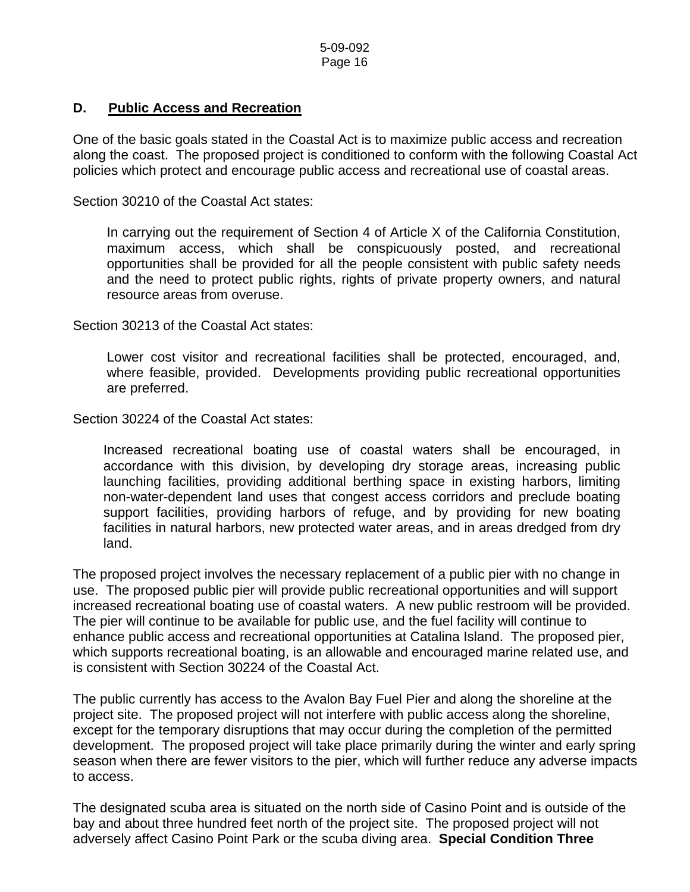## **D. Public Access and Recreation**

One of the basic goals stated in the Coastal Act is to maximize public access and recreation along the coast. The proposed project is conditioned to conform with the following Coastal Act policies which protect and encourage public access and recreational use of coastal areas.

Section 30210 of the Coastal Act states:

 In carrying out the requirement of Section 4 of Article X of the California Constitution, maximum access, which shall be conspicuously posted, and recreational opportunities shall be provided for all the people consistent with public safety needs and the need to protect public rights, rights of private property owners, and natural resource areas from overuse.

Section 30213 of the Coastal Act states:

 Lower cost visitor and recreational facilities shall be protected, encouraged, and, where feasible, provided. Developments providing public recreational opportunities are preferred.

Section 30224 of the Coastal Act states:

Increased recreational boating use of coastal waters shall be encouraged, in accordance with this division, by developing dry storage areas, increasing public launching facilities, providing additional berthing space in existing harbors, limiting non-water-dependent land uses that congest access corridors and preclude boating support facilities, providing harbors of refuge, and by providing for new boating facilities in natural harbors, new protected water areas, and in areas dredged from dry land.

The proposed project involves the necessary replacement of a public pier with no change in use. The proposed public pier will provide public recreational opportunities and will support increased recreational boating use of coastal waters. A new public restroom will be provided. The pier will continue to be available for public use, and the fuel facility will continue to enhance public access and recreational opportunities at Catalina Island. The proposed pier, which supports recreational boating, is an allowable and encouraged marine related use, and is consistent with Section 30224 of the Coastal Act.

The public currently has access to the Avalon Bay Fuel Pier and along the shoreline at the project site. The proposed project will not interfere with public access along the shoreline, except for the temporary disruptions that may occur during the completion of the permitted development. The proposed project will take place primarily during the winter and early spring season when there are fewer visitors to the pier, which will further reduce any adverse impacts to access.

The designated scuba area is situated on the north side of Casino Point and is outside of the bay and about three hundred feet north of the project site. The proposed project will not adversely affect Casino Point Park or the scuba diving area. **Special Condition Three**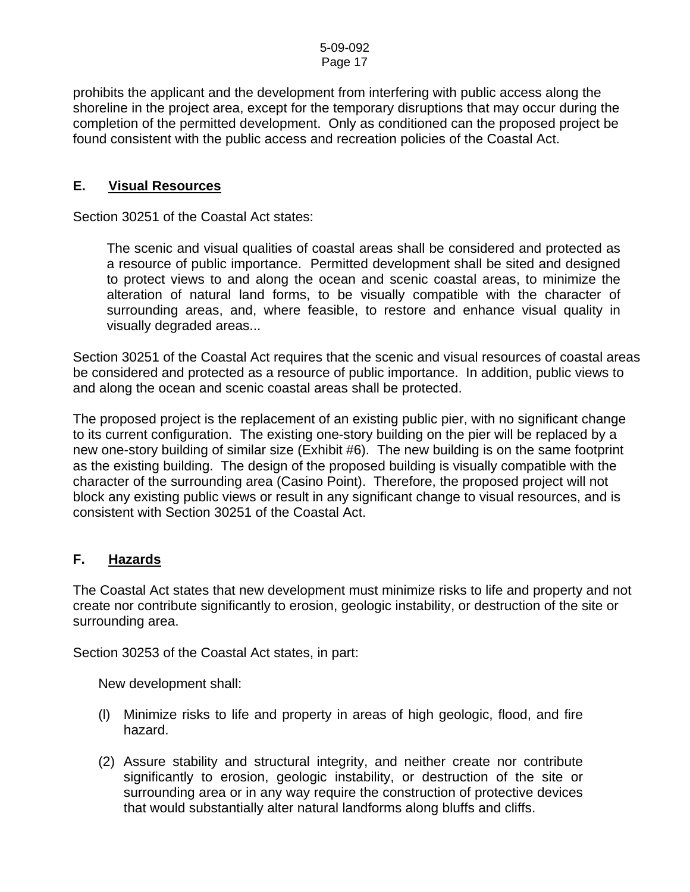prohibits the applicant and the development from interfering with public access along the shoreline in the project area, except for the temporary disruptions that may occur during the completion of the permitted development. Only as conditioned can the proposed project be found consistent with the public access and recreation policies of the Coastal Act.

## **E. Visual Resources**

Section 30251 of the Coastal Act states:

 The scenic and visual qualities of coastal areas shall be considered and protected as a resource of public importance. Permitted development shall be sited and designed to protect views to and along the ocean and scenic coastal areas, to minimize the alteration of natural land forms, to be visually compatible with the character of surrounding areas, and, where feasible, to restore and enhance visual quality in visually degraded areas...

Section 30251 of the Coastal Act requires that the scenic and visual resources of coastal areas be considered and protected as a resource of public importance. In addition, public views to and along the ocean and scenic coastal areas shall be protected.

The proposed project is the replacement of an existing public pier, with no significant change to its current configuration. The existing one-story building on the pier will be replaced by a new one-story building of similar size (Exhibit #6). The new building is on the same footprint as the existing building. The design of the proposed building is visually compatible with the character of the surrounding area (Casino Point). Therefore, the proposed project will not block any existing public views or result in any significant change to visual resources, and is consistent with Section 30251 of the Coastal Act.

# **F. Hazards**

The Coastal Act states that new development must minimize risks to life and property and not create nor contribute significantly to erosion, geologic instability, or destruction of the site or surrounding area.

Section 30253 of the Coastal Act states, in part:

New development shall:

- (l) Minimize risks to life and property in areas of high geologic, flood, and fire hazard.
- (2) Assure stability and structural integrity, and neither create nor contribute significantly to erosion, geologic instability, or destruction of the site or surrounding area or in any way require the construction of protective devices that would substantially alter natural landforms along bluffs and cliffs.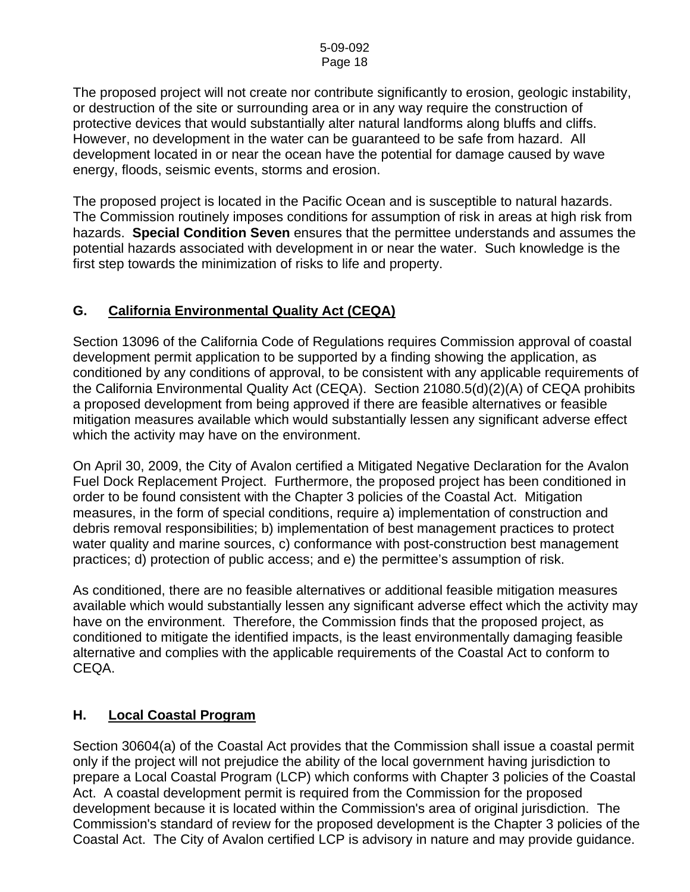The proposed project will not create nor contribute significantly to erosion, geologic instability, or destruction of the site or surrounding area or in any way require the construction of protective devices that would substantially alter natural landforms along bluffs and cliffs. However, no development in the water can be guaranteed to be safe from hazard. All development located in or near the ocean have the potential for damage caused by wave energy, floods, seismic events, storms and erosion.

The proposed project is located in the Pacific Ocean and is susceptible to natural hazards. The Commission routinely imposes conditions for assumption of risk in areas at high risk from hazards. **Special Condition Seven** ensures that the permittee understands and assumes the potential hazards associated with development in or near the water. Such knowledge is the first step towards the minimization of risks to life and property.

# **G. California Environmental Quality Act (CEQA)**

Section 13096 of the California Code of Regulations requires Commission approval of coastal development permit application to be supported by a finding showing the application, as conditioned by any conditions of approval, to be consistent with any applicable requirements of the California Environmental Quality Act (CEQA). Section 21080.5(d)(2)(A) of CEQA prohibits a proposed development from being approved if there are feasible alternatives or feasible mitigation measures available which would substantially lessen any significant adverse effect which the activity may have on the environment.

On April 30, 2009, the City of Avalon certified a Mitigated Negative Declaration for the Avalon Fuel Dock Replacement Project. Furthermore, the proposed project has been conditioned in order to be found consistent with the Chapter 3 policies of the Coastal Act. Mitigation measures, in the form of special conditions, require a) implementation of construction and debris removal responsibilities; b) implementation of best management practices to protect water quality and marine sources, c) conformance with post-construction best management practices; d) protection of public access; and e) the permittee's assumption of risk.

As conditioned, there are no feasible alternatives or additional feasible mitigation measures available which would substantially lessen any significant adverse effect which the activity may have on the environment. Therefore, the Commission finds that the proposed project, as conditioned to mitigate the identified impacts, is the least environmentally damaging feasible alternative and complies with the applicable requirements of the Coastal Act to conform to CEQA.

# **H. Local Coastal Program**

Section 30604(a) of the Coastal Act provides that the Commission shall issue a coastal permit only if the project will not prejudice the ability of the local government having jurisdiction to prepare a Local Coastal Program (LCP) which conforms with Chapter 3 policies of the Coastal Act. A coastal development permit is required from the Commission for the proposed development because it is located within the Commission's area of original jurisdiction. The Commission's standard of review for the proposed development is the Chapter 3 policies of the Coastal Act. The City of Avalon certified LCP is advisory in nature and may provide guidance.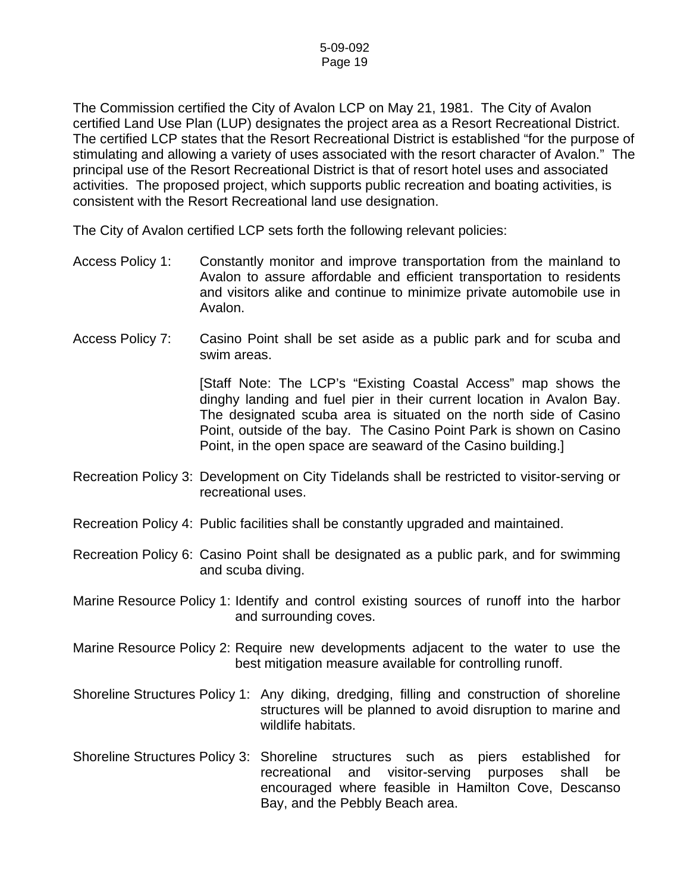The Commission certified the City of Avalon LCP on May 21, 1981. The City of Avalon certified Land Use Plan (LUP) designates the project area as a Resort Recreational District. The certified LCP states that the Resort Recreational District is established "for the purpose of stimulating and allowing a variety of uses associated with the resort character of Avalon." The principal use of the Resort Recreational District is that of resort hotel uses and associated activities. The proposed project, which supports public recreation and boating activities, is consistent with the Resort Recreational land use designation.

The City of Avalon certified LCP sets forth the following relevant policies:

- Access Policy 1: Constantly monitor and improve transportation from the mainland to Avalon to assure affordable and efficient transportation to residents and visitors alike and continue to minimize private automobile use in Avalon.
- Access Policy 7: Casino Point shall be set aside as a public park and for scuba and swim areas.

[Staff Note: The LCP's "Existing Coastal Access" map shows the dinghy landing and fuel pier in their current location in Avalon Bay. The designated scuba area is situated on the north side of Casino Point, outside of the bay. The Casino Point Park is shown on Casino Point, in the open space are seaward of the Casino building.]

- Recreation Policy 3: Development on City Tidelands shall be restricted to visitor-serving or recreational uses.
- Recreation Policy 4: Public facilities shall be constantly upgraded and maintained.
- Recreation Policy 6: Casino Point shall be designated as a public park, and for swimming and scuba diving.
- Marine Resource Policy 1: Identify and control existing sources of runoff into the harbor and surrounding coves.
- Marine Resource Policy 2: Require new developments adjacent to the water to use the best mitigation measure available for controlling runoff.
- Shoreline Structures Policy 1: Any diking, dredging, filling and construction of shoreline structures will be planned to avoid disruption to marine and wildlife habitats.
- Shoreline Structures Policy 3: Shoreline structures such as piers established for recreational and visitor-serving purposes shall be encouraged where feasible in Hamilton Cove, Descanso Bay, and the Pebbly Beach area.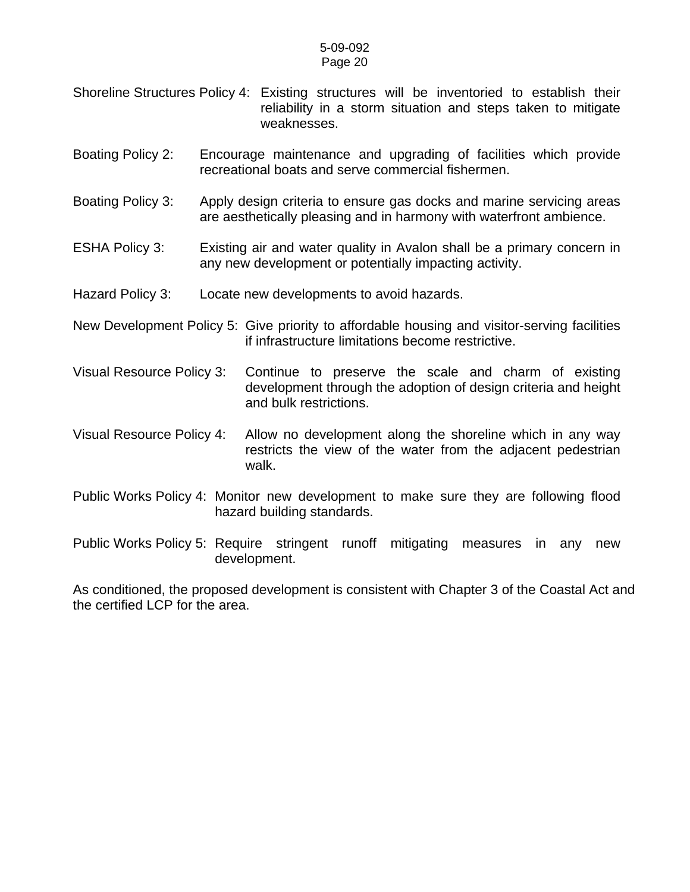#### 5-09-092 Page 20

- Shoreline Structures Policy 4: Existing structures will be inventoried to establish their reliability in a storm situation and steps taken to mitigate weaknesses.
- Boating Policy 2: Encourage maintenance and upgrading of facilities which provide recreational boats and serve commercial fishermen.
- Boating Policy 3: Apply design criteria to ensure gas docks and marine servicing areas are aesthetically pleasing and in harmony with waterfront ambience.
- ESHA Policy 3: Existing air and water quality in Avalon shall be a primary concern in any new development or potentially impacting activity.
- Hazard Policy 3: Locate new developments to avoid hazards.
- New Development Policy 5: Give priority to affordable housing and visitor-serving facilities if infrastructure limitations become restrictive.
- Visual Resource Policy 3: Continue to preserve the scale and charm of existing development through the adoption of design criteria and height and bulk restrictions.
- Visual Resource Policy 4: Allow no development along the shoreline which in any way restricts the view of the water from the adjacent pedestrian walk.
- Public Works Policy 4: Monitor new development to make sure they are following flood hazard building standards.
- Public Works Policy 5: Require stringent runoff mitigating measures in any new development.

As conditioned, the proposed development is consistent with Chapter 3 of the Coastal Act and the certified LCP for the area.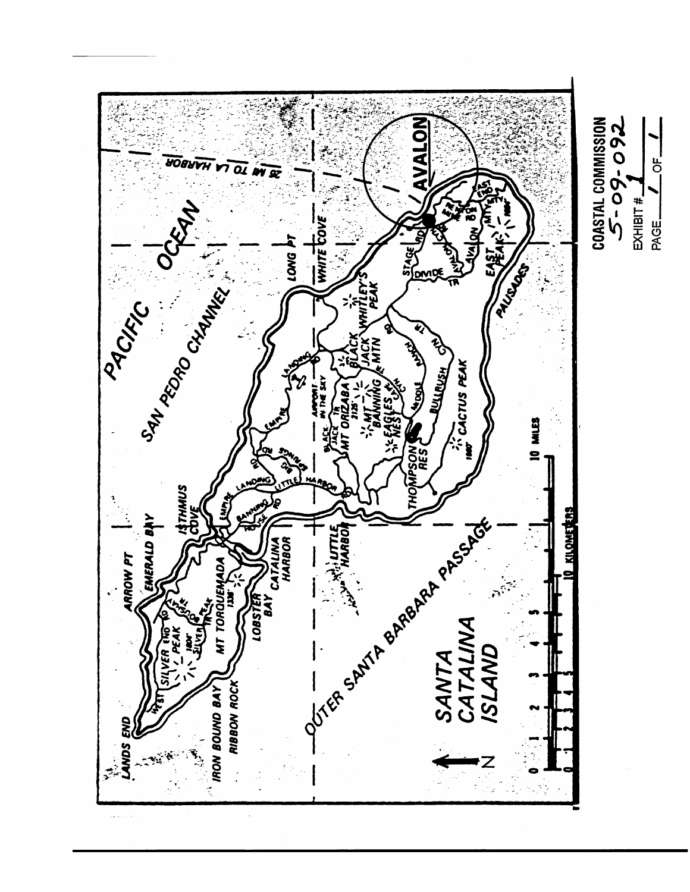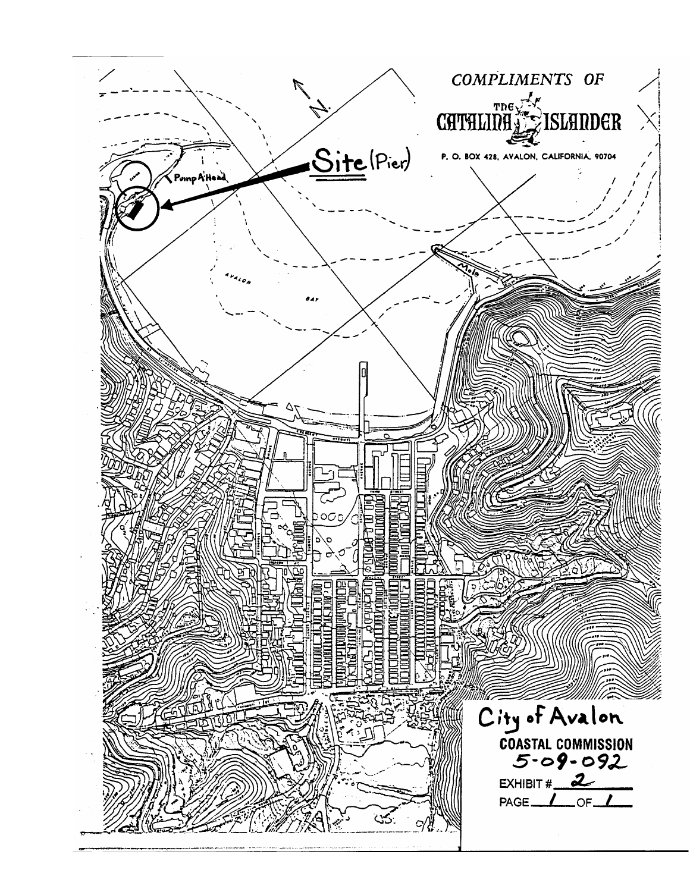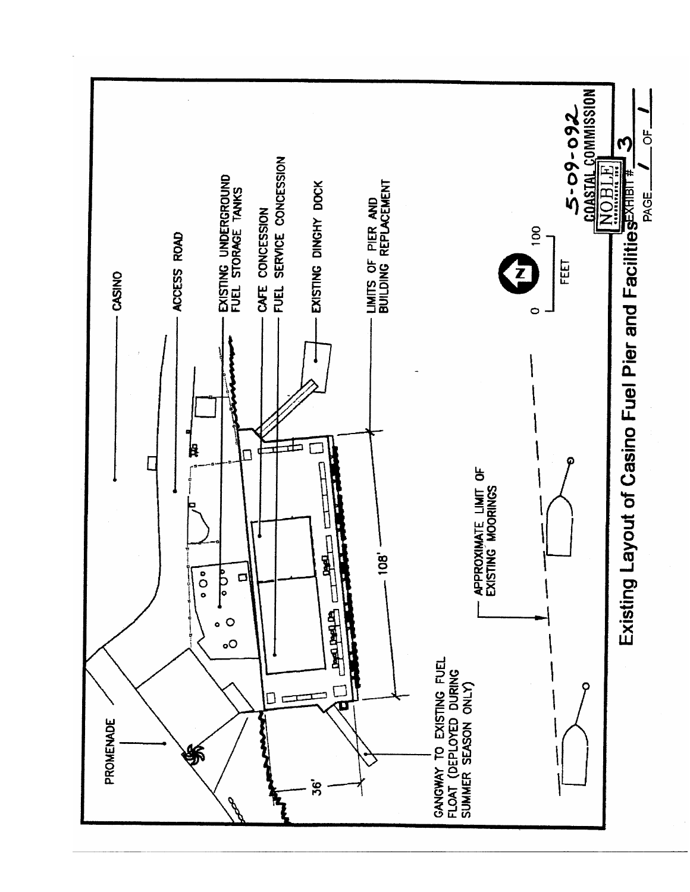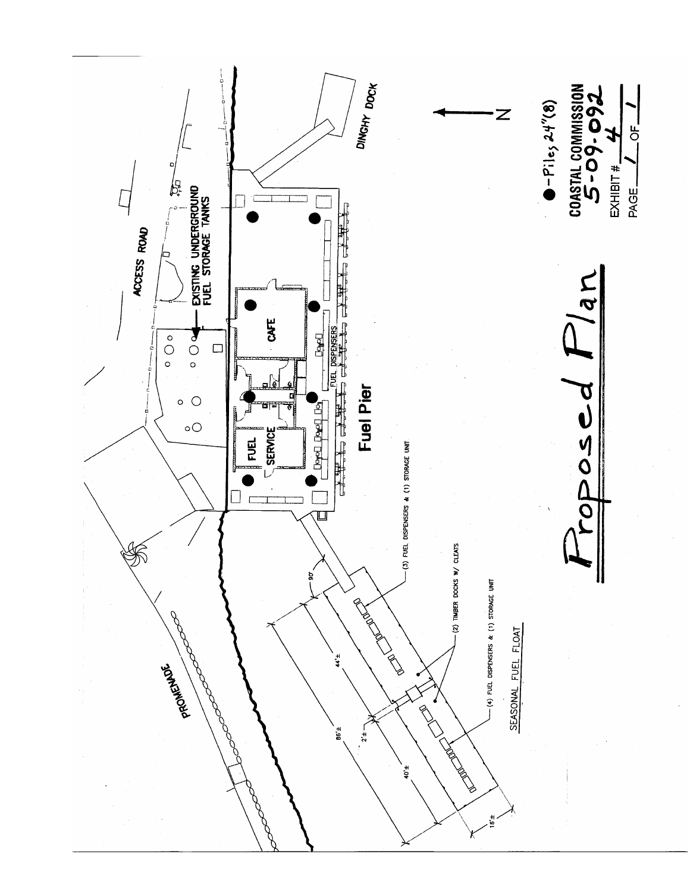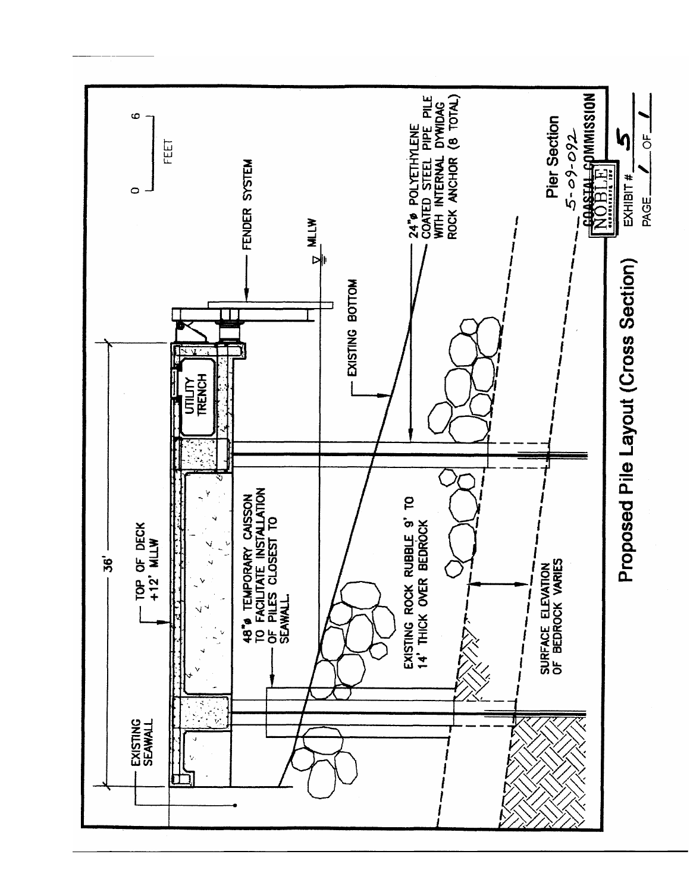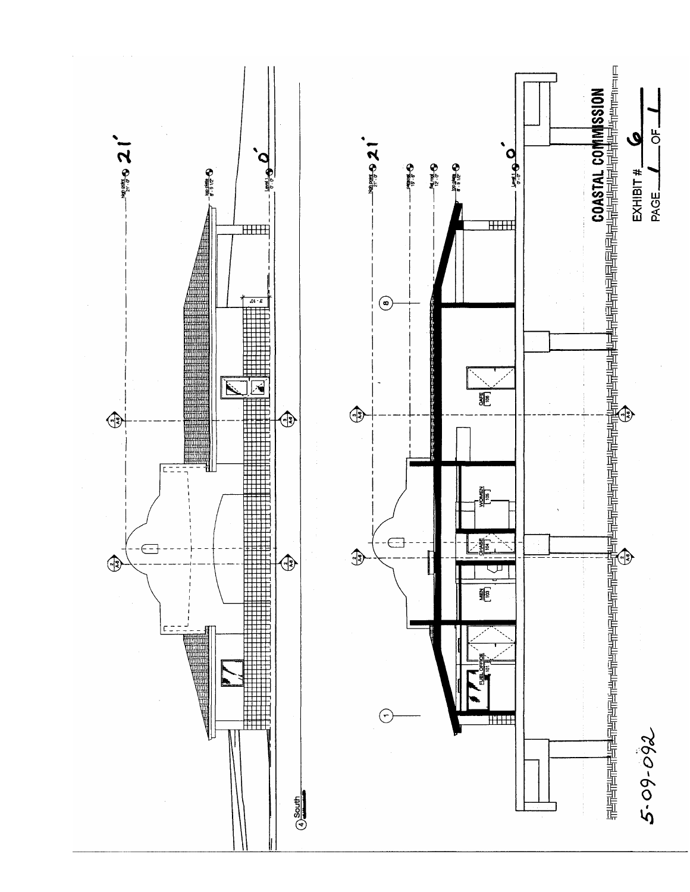